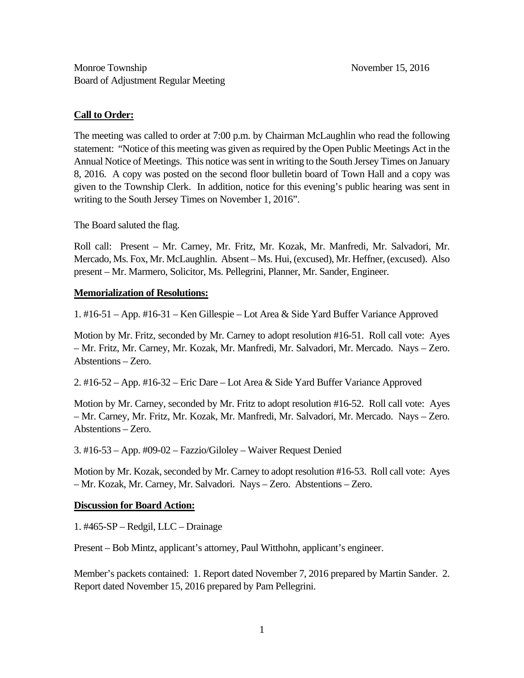## **Call to Order:**

The meeting was called to order at 7:00 p.m. by Chairman McLaughlin who read the following statement: "Notice of this meeting was given as required by the Open Public Meetings Act in the Annual Notice of Meetings. This notice was sent in writing to the South Jersey Times on January 8, 2016. A copy was posted on the second floor bulletin board of Town Hall and a copy was given to the Township Clerk. In addition, notice for this evening's public hearing was sent in writing to the South Jersey Times on November 1, 2016".

The Board saluted the flag.

Roll call: Present – Mr. Carney, Mr. Fritz, Mr. Kozak, Mr. Manfredi, Mr. Salvadori, Mr. Mercado, Ms. Fox, Mr. McLaughlin. Absent – Ms. Hui, (excused), Mr. Heffner, (excused). Also present – Mr. Marmero, Solicitor, Ms. Pellegrini, Planner, Mr. Sander, Engineer.

## **Memorialization of Resolutions:**

1. #16-51 – App. #16-31 – Ken Gillespie – Lot Area & Side Yard Buffer Variance Approved

Motion by Mr. Fritz, seconded by Mr. Carney to adopt resolution #16-51. Roll call vote: Ayes – Mr. Fritz, Mr. Carney, Mr. Kozak, Mr. Manfredi, Mr. Salvadori, Mr. Mercado. Nays – Zero. Abstentions – Zero.

2. #16-52 – App. #16-32 – Eric Dare – Lot Area & Side Yard Buffer Variance Approved

Motion by Mr. Carney, seconded by Mr. Fritz to adopt resolution #16-52. Roll call vote: Ayes – Mr. Carney, Mr. Fritz, Mr. Kozak, Mr. Manfredi, Mr. Salvadori, Mr. Mercado. Nays – Zero. Abstentions – Zero.

3. #16-53 – App. #09-02 – Fazzio/Giloley – Waiver Request Denied

Motion by Mr. Kozak, seconded by Mr. Carney to adopt resolution #16-53. Roll call vote: Ayes – Mr. Kozak, Mr. Carney, Mr. Salvadori. Nays – Zero. Abstentions – Zero.

# **Discussion for Board Action:**

1. #465-SP – Redgil, LLC – Drainage

Present – Bob Mintz, applicant's attorney, Paul Witthohn, applicant's engineer.

Member's packets contained: 1. Report dated November 7, 2016 prepared by Martin Sander. 2. Report dated November 15, 2016 prepared by Pam Pellegrini.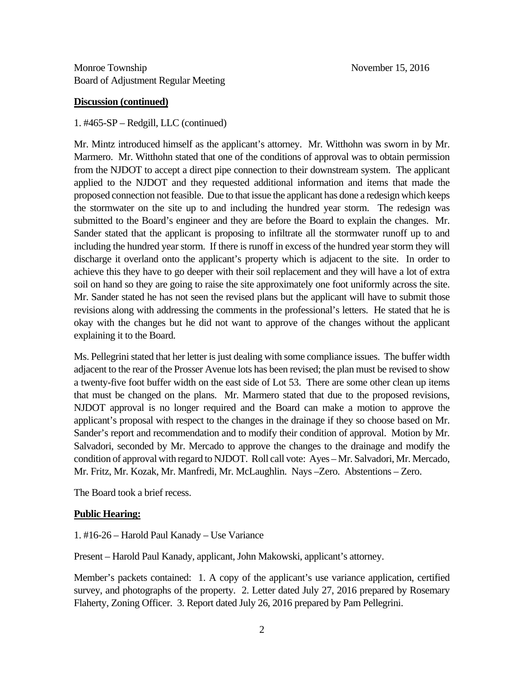#### **Discussion (continued)**

#### 1. #465-SP – Redgill, LLC (continued)

Mr. Mintz introduced himself as the applicant's attorney. Mr. Witthohn was sworn in by Mr. Marmero. Mr. Witthohn stated that one of the conditions of approval was to obtain permission from the NJDOT to accept a direct pipe connection to their downstream system. The applicant applied to the NJDOT and they requested additional information and items that made the proposed connection not feasible. Due to that issue the applicant has done a redesign which keeps the stormwater on the site up to and including the hundred year storm. The redesign was submitted to the Board's engineer and they are before the Board to explain the changes. Mr. Sander stated that the applicant is proposing to infiltrate all the stormwater runoff up to and including the hundred year storm. If there is runoff in excess of the hundred year storm they will discharge it overland onto the applicant's property which is adjacent to the site. In order to achieve this they have to go deeper with their soil replacement and they will have a lot of extra soil on hand so they are going to raise the site approximately one foot uniformly across the site. Mr. Sander stated he has not seen the revised plans but the applicant will have to submit those revisions along with addressing the comments in the professional's letters. He stated that he is okay with the changes but he did not want to approve of the changes without the applicant explaining it to the Board.

Ms. Pellegrini stated that her letter is just dealing with some compliance issues. The buffer width adjacent to the rear of the Prosser Avenue lots has been revised; the plan must be revised to show a twenty-five foot buffer width on the east side of Lot 53. There are some other clean up items that must be changed on the plans. Mr. Marmero stated that due to the proposed revisions, NJDOT approval is no longer required and the Board can make a motion to approve the applicant's proposal with respect to the changes in the drainage if they so choose based on Mr. Sander's report and recommendation and to modify their condition of approval. Motion by Mr. Salvadori, seconded by Mr. Mercado to approve the changes to the drainage and modify the condition of approval with regard to NJDOT. Roll call vote: Ayes – Mr. Salvadori, Mr. Mercado, Mr. Fritz, Mr. Kozak, Mr. Manfredi, Mr. McLaughlin. Nays –Zero. Abstentions – Zero.

The Board took a brief recess.

#### **Public Hearing:**

1. #16-26 – Harold Paul Kanady – Use Variance

Present – Harold Paul Kanady, applicant, John Makowski, applicant's attorney.

Member's packets contained: 1. A copy of the applicant's use variance application, certified survey, and photographs of the property. 2. Letter dated July 27, 2016 prepared by Rosemary Flaherty, Zoning Officer. 3. Report dated July 26, 2016 prepared by Pam Pellegrini.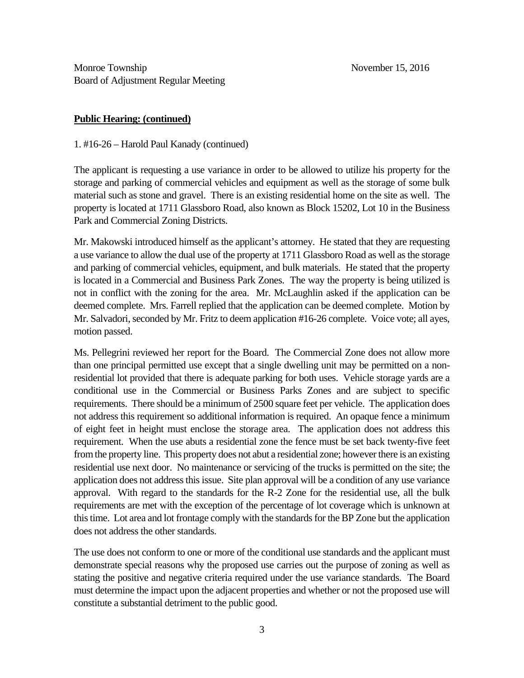## **Public Hearing: (continued)**

1. #16-26 – Harold Paul Kanady (continued)

The applicant is requesting a use variance in order to be allowed to utilize his property for the storage and parking of commercial vehicles and equipment as well as the storage of some bulk material such as stone and gravel. There is an existing residential home on the site as well. The property is located at 1711 Glassboro Road, also known as Block 15202, Lot 10 in the Business Park and Commercial Zoning Districts.

Mr. Makowski introduced himself as the applicant's attorney. He stated that they are requesting a use variance to allow the dual use of the property at 1711 Glassboro Road as well as the storage and parking of commercial vehicles, equipment, and bulk materials. He stated that the property is located in a Commercial and Business Park Zones. The way the property is being utilized is not in conflict with the zoning for the area. Mr. McLaughlin asked if the application can be deemed complete. Mrs. Farrell replied that the application can be deemed complete. Motion by Mr. Salvadori, seconded by Mr. Fritz to deem application #16-26 complete. Voice vote; all ayes, motion passed.

Ms. Pellegrini reviewed her report for the Board. The Commercial Zone does not allow more than one principal permitted use except that a single dwelling unit may be permitted on a nonresidential lot provided that there is adequate parking for both uses. Vehicle storage yards are a conditional use in the Commercial or Business Parks Zones and are subject to specific requirements. There should be a minimum of 2500 square feet per vehicle. The application does not address this requirement so additional information is required. An opaque fence a minimum of eight feet in height must enclose the storage area. The application does not address this requirement. When the use abuts a residential zone the fence must be set back twenty-five feet from the property line. This property does not abut a residential zone; however there is an existing residential use next door. No maintenance or servicing of the trucks is permitted on the site; the application does not address this issue. Site plan approval will be a condition of any use variance approval. With regard to the standards for the R-2 Zone for the residential use, all the bulk requirements are met with the exception of the percentage of lot coverage which is unknown at this time. Lot area and lot frontage comply with the standards for the BP Zone but the application does not address the other standards.

The use does not conform to one or more of the conditional use standards and the applicant must demonstrate special reasons why the proposed use carries out the purpose of zoning as well as stating the positive and negative criteria required under the use variance standards. The Board must determine the impact upon the adjacent properties and whether or not the proposed use will constitute a substantial detriment to the public good.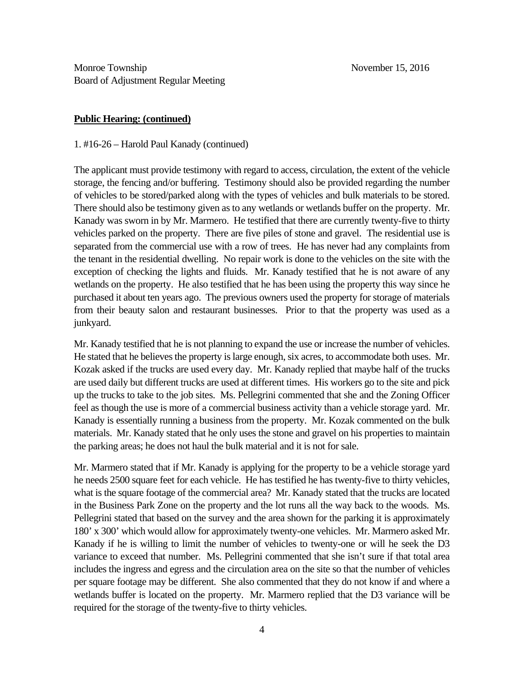### **Public Hearing: (continued)**

1. #16-26 – Harold Paul Kanady (continued)

The applicant must provide testimony with regard to access, circulation, the extent of the vehicle storage, the fencing and/or buffering. Testimony should also be provided regarding the number of vehicles to be stored/parked along with the types of vehicles and bulk materials to be stored. There should also be testimony given as to any wetlands or wetlands buffer on the property. Mr. Kanady was sworn in by Mr. Marmero. He testified that there are currently twenty-five to thirty vehicles parked on the property. There are five piles of stone and gravel. The residential use is separated from the commercial use with a row of trees. He has never had any complaints from the tenant in the residential dwelling. No repair work is done to the vehicles on the site with the exception of checking the lights and fluids. Mr. Kanady testified that he is not aware of any wetlands on the property. He also testified that he has been using the property this way since he purchased it about ten years ago. The previous owners used the property for storage of materials from their beauty salon and restaurant businesses. Prior to that the property was used as a junkyard.

Mr. Kanady testified that he is not planning to expand the use or increase the number of vehicles. He stated that he believes the property is large enough, six acres, to accommodate both uses. Mr. Kozak asked if the trucks are used every day. Mr. Kanady replied that maybe half of the trucks are used daily but different trucks are used at different times. His workers go to the site and pick up the trucks to take to the job sites. Ms. Pellegrini commented that she and the Zoning Officer feel as though the use is more of a commercial business activity than a vehicle storage yard. Mr. Kanady is essentially running a business from the property. Mr. Kozak commented on the bulk materials. Mr. Kanady stated that he only uses the stone and gravel on his properties to maintain the parking areas; he does not haul the bulk material and it is not for sale.

Mr. Marmero stated that if Mr. Kanady is applying for the property to be a vehicle storage yard he needs 2500 square feet for each vehicle. He has testified he has twenty-five to thirty vehicles, what is the square footage of the commercial area? Mr. Kanady stated that the trucks are located in the Business Park Zone on the property and the lot runs all the way back to the woods. Ms. Pellegrini stated that based on the survey and the area shown for the parking it is approximately 180' x 300' which would allow for approximately twenty-one vehicles. Mr. Marmero asked Mr. Kanady if he is willing to limit the number of vehicles to twenty-one or will he seek the D3 variance to exceed that number. Ms. Pellegrini commented that she isn't sure if that total area includes the ingress and egress and the circulation area on the site so that the number of vehicles per square footage may be different. She also commented that they do not know if and where a wetlands buffer is located on the property. Mr. Marmero replied that the D3 variance will be required for the storage of the twenty-five to thirty vehicles.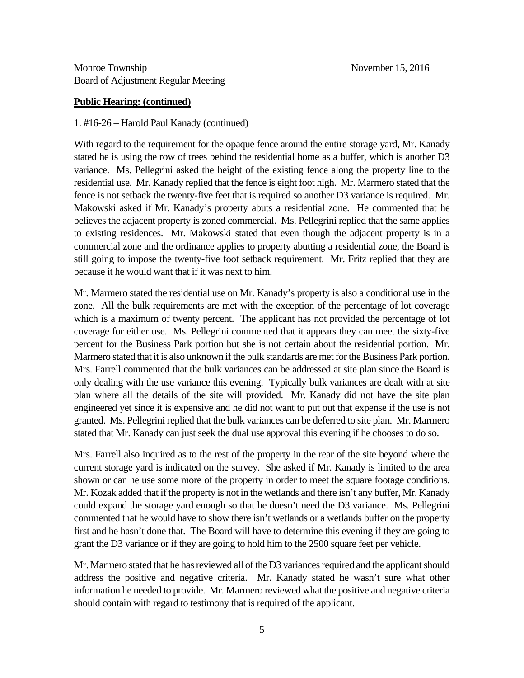### **Public Hearing: (continued)**

### 1. #16-26 – Harold Paul Kanady (continued)

With regard to the requirement for the opaque fence around the entire storage yard, Mr. Kanady stated he is using the row of trees behind the residential home as a buffer, which is another D3 variance. Ms. Pellegrini asked the height of the existing fence along the property line to the residential use. Mr. Kanady replied that the fence is eight foot high. Mr. Marmero stated that the fence is not setback the twenty-five feet that is required so another D3 variance is required. Mr. Makowski asked if Mr. Kanady's property abuts a residential zone. He commented that he believes the adjacent property is zoned commercial. Ms. Pellegrini replied that the same applies to existing residences. Mr. Makowski stated that even though the adjacent property is in a commercial zone and the ordinance applies to property abutting a residential zone, the Board is still going to impose the twenty-five foot setback requirement. Mr. Fritz replied that they are because it he would want that if it was next to him.

Mr. Marmero stated the residential use on Mr. Kanady's property is also a conditional use in the zone. All the bulk requirements are met with the exception of the percentage of lot coverage which is a maximum of twenty percent. The applicant has not provided the percentage of lot coverage for either use. Ms. Pellegrini commented that it appears they can meet the sixty-five percent for the Business Park portion but she is not certain about the residential portion. Mr. Marmero stated that it is also unknown if the bulk standards are met for the Business Park portion. Mrs. Farrell commented that the bulk variances can be addressed at site plan since the Board is only dealing with the use variance this evening. Typically bulk variances are dealt with at site plan where all the details of the site will provided. Mr. Kanady did not have the site plan engineered yet since it is expensive and he did not want to put out that expense if the use is not granted. Ms. Pellegrini replied that the bulk variances can be deferred to site plan. Mr. Marmero stated that Mr. Kanady can just seek the dual use approval this evening if he chooses to do so.

Mrs. Farrell also inquired as to the rest of the property in the rear of the site beyond where the current storage yard is indicated on the survey. She asked if Mr. Kanady is limited to the area shown or can he use some more of the property in order to meet the square footage conditions. Mr. Kozak added that if the property is not in the wetlands and there isn't any buffer, Mr. Kanady could expand the storage yard enough so that he doesn't need the D3 variance. Ms. Pellegrini commented that he would have to show there isn't wetlands or a wetlands buffer on the property first and he hasn't done that. The Board will have to determine this evening if they are going to grant the D3 variance or if they are going to hold him to the 2500 square feet per vehicle.

Mr. Marmero stated that he has reviewed all of the D3 variances required and the applicant should address the positive and negative criteria. Mr. Kanady stated he wasn't sure what other information he needed to provide. Mr. Marmero reviewed what the positive and negative criteria should contain with regard to testimony that is required of the applicant.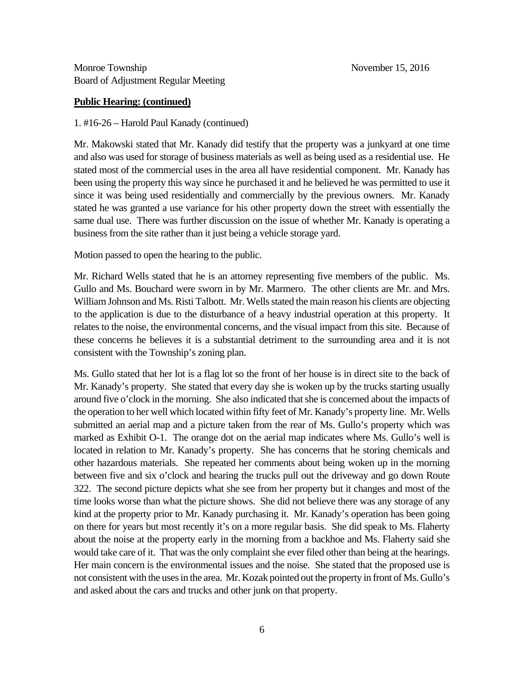## **Public Hearing: (continued)**

1. #16-26 – Harold Paul Kanady (continued)

Mr. Makowski stated that Mr. Kanady did testify that the property was a junkyard at one time and also was used for storage of business materials as well as being used as a residential use. He stated most of the commercial uses in the area all have residential component. Mr. Kanady has been using the property this way since he purchased it and he believed he was permitted to use it since it was being used residentially and commercially by the previous owners. Mr. Kanady stated he was granted a use variance for his other property down the street with essentially the same dual use. There was further discussion on the issue of whether Mr. Kanady is operating a business from the site rather than it just being a vehicle storage yard.

Motion passed to open the hearing to the public.

Mr. Richard Wells stated that he is an attorney representing five members of the public. Ms. Gullo and Ms. Bouchard were sworn in by Mr. Marmero. The other clients are Mr. and Mrs. William Johnson and Ms. Risti Talbott. Mr. Wells stated the main reason his clients are objecting to the application is due to the disturbance of a heavy industrial operation at this property. It relates to the noise, the environmental concerns, and the visual impact from this site. Because of these concerns he believes it is a substantial detriment to the surrounding area and it is not consistent with the Township's zoning plan.

Ms. Gullo stated that her lot is a flag lot so the front of her house is in direct site to the back of Mr. Kanady's property. She stated that every day she is woken up by the trucks starting usually around five o'clock in the morning. She also indicated that she is concerned about the impacts of the operation to her well which located within fifty feet of Mr. Kanady's property line. Mr. Wells submitted an aerial map and a picture taken from the rear of Ms. Gullo's property which was marked as Exhibit O-1. The orange dot on the aerial map indicates where Ms. Gullo's well is located in relation to Mr. Kanady's property. She has concerns that he storing chemicals and other hazardous materials. She repeated her comments about being woken up in the morning between five and six o'clock and hearing the trucks pull out the driveway and go down Route 322. The second picture depicts what she see from her property but it changes and most of the time looks worse than what the picture shows. She did not believe there was any storage of any kind at the property prior to Mr. Kanady purchasing it. Mr. Kanady's operation has been going on there for years but most recently it's on a more regular basis. She did speak to Ms. Flaherty about the noise at the property early in the morning from a backhoe and Ms. Flaherty said she would take care of it. That was the only complaint she ever filed other than being at the hearings. Her main concern is the environmental issues and the noise. She stated that the proposed use is not consistent with the uses in the area. Mr. Kozak pointed out the property in front of Ms. Gullo's and asked about the cars and trucks and other junk on that property.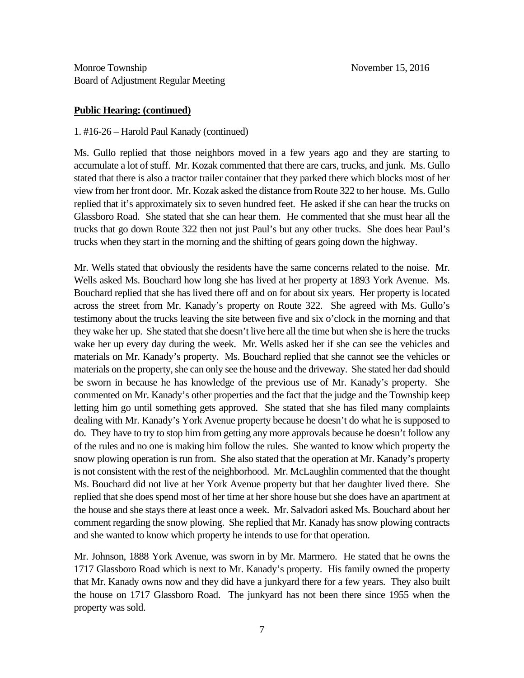### **Public Hearing: (continued)**

### 1. #16-26 – Harold Paul Kanady (continued)

Ms. Gullo replied that those neighbors moved in a few years ago and they are starting to accumulate a lot of stuff. Mr. Kozak commented that there are cars, trucks, and junk. Ms. Gullo stated that there is also a tractor trailer container that they parked there which blocks most of her view from her front door. Mr. Kozak asked the distance from Route 322 to her house. Ms. Gullo replied that it's approximately six to seven hundred feet. He asked if she can hear the trucks on Glassboro Road. She stated that she can hear them. He commented that she must hear all the trucks that go down Route 322 then not just Paul's but any other trucks. She does hear Paul's trucks when they start in the morning and the shifting of gears going down the highway.

Mr. Wells stated that obviously the residents have the same concerns related to the noise. Mr. Wells asked Ms. Bouchard how long she has lived at her property at 1893 York Avenue. Ms. Bouchard replied that she has lived there off and on for about six years. Her property is located across the street from Mr. Kanady's property on Route 322. She agreed with Ms. Gullo's testimony about the trucks leaving the site between five and six o'clock in the morning and that they wake her up. She stated that she doesn't live here all the time but when she is here the trucks wake her up every day during the week. Mr. Wells asked her if she can see the vehicles and materials on Mr. Kanady's property. Ms. Bouchard replied that she cannot see the vehicles or materials on the property, she can only see the house and the driveway. She stated her dad should be sworn in because he has knowledge of the previous use of Mr. Kanady's property. She commented on Mr. Kanady's other properties and the fact that the judge and the Township keep letting him go until something gets approved. She stated that she has filed many complaints dealing with Mr. Kanady's York Avenue property because he doesn't do what he is supposed to do. They have to try to stop him from getting any more approvals because he doesn't follow any of the rules and no one is making him follow the rules. She wanted to know which property the snow plowing operation is run from. She also stated that the operation at Mr. Kanady's property is not consistent with the rest of the neighborhood. Mr. McLaughlin commented that the thought Ms. Bouchard did not live at her York Avenue property but that her daughter lived there. She replied that she does spend most of her time at her shore house but she does have an apartment at the house and she stays there at least once a week. Mr. Salvadori asked Ms. Bouchard about her comment regarding the snow plowing. She replied that Mr. Kanady has snow plowing contracts and she wanted to know which property he intends to use for that operation.

Mr. Johnson, 1888 York Avenue, was sworn in by Mr. Marmero. He stated that he owns the 1717 Glassboro Road which is next to Mr. Kanady's property. His family owned the property that Mr. Kanady owns now and they did have a junkyard there for a few years. They also built the house on 1717 Glassboro Road. The junkyard has not been there since 1955 when the property was sold.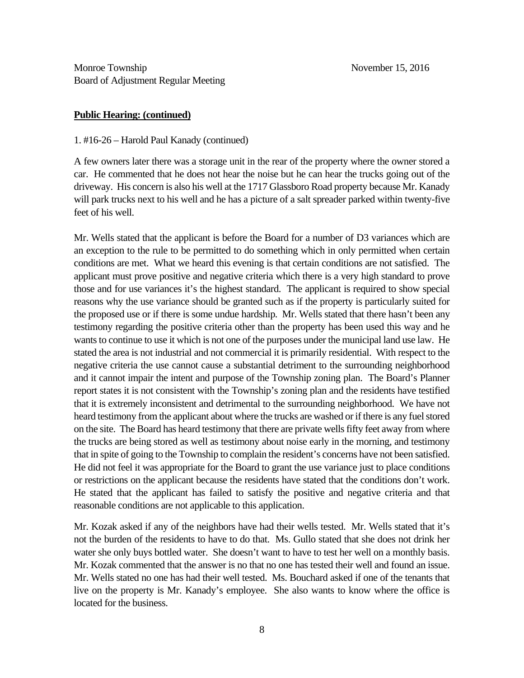### **Public Hearing: (continued)**

### 1. #16-26 – Harold Paul Kanady (continued)

A few owners later there was a storage unit in the rear of the property where the owner stored a car. He commented that he does not hear the noise but he can hear the trucks going out of the driveway. His concern is also his well at the 1717 Glassboro Road property because Mr. Kanady will park trucks next to his well and he has a picture of a salt spreader parked within twenty-five feet of his well.

Mr. Wells stated that the applicant is before the Board for a number of D3 variances which are an exception to the rule to be permitted to do something which in only permitted when certain conditions are met. What we heard this evening is that certain conditions are not satisfied. The applicant must prove positive and negative criteria which there is a very high standard to prove those and for use variances it's the highest standard. The applicant is required to show special reasons why the use variance should be granted such as if the property is particularly suited for the proposed use or if there is some undue hardship. Mr. Wells stated that there hasn't been any testimony regarding the positive criteria other than the property has been used this way and he wants to continue to use it which is not one of the purposes under the municipal land use law. He stated the area is not industrial and not commercial it is primarily residential. With respect to the negative criteria the use cannot cause a substantial detriment to the surrounding neighborhood and it cannot impair the intent and purpose of the Township zoning plan. The Board's Planner report states it is not consistent with the Township's zoning plan and the residents have testified that it is extremely inconsistent and detrimental to the surrounding neighborhood. We have not heard testimony from the applicant about where the trucks are washed or if there is any fuel stored on the site. The Board has heard testimony that there are private wells fifty feet away from where the trucks are being stored as well as testimony about noise early in the morning, and testimony that in spite of going to the Township to complain the resident's concerns have not been satisfied. He did not feel it was appropriate for the Board to grant the use variance just to place conditions or restrictions on the applicant because the residents have stated that the conditions don't work. He stated that the applicant has failed to satisfy the positive and negative criteria and that reasonable conditions are not applicable to this application.

Mr. Kozak asked if any of the neighbors have had their wells tested. Mr. Wells stated that it's not the burden of the residents to have to do that. Ms. Gullo stated that she does not drink her water she only buys bottled water. She doesn't want to have to test her well on a monthly basis. Mr. Kozak commented that the answer is no that no one has tested their well and found an issue. Mr. Wells stated no one has had their well tested. Ms. Bouchard asked if one of the tenants that live on the property is Mr. Kanady's employee. She also wants to know where the office is located for the business.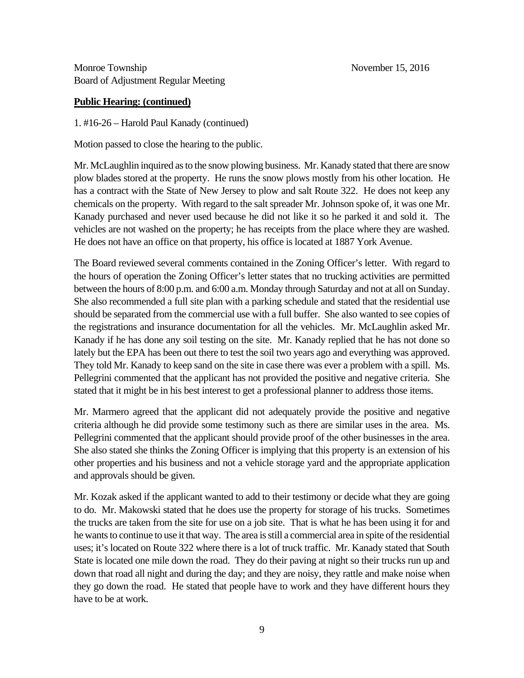## **Public Hearing: (continued)**

1. #16-26 – Harold Paul Kanady (continued)

Motion passed to close the hearing to the public.

Mr. McLaughlin inquired as to the snow plowing business. Mr. Kanady stated that there are snow plow blades stored at the property. He runs the snow plows mostly from his other location. He has a contract with the State of New Jersey to plow and salt Route 322. He does not keep any chemicals on the property. With regard to the salt spreader Mr. Johnson spoke of, it was one Mr. Kanady purchased and never used because he did not like it so he parked it and sold it. The vehicles are not washed on the property; he has receipts from the place where they are washed. He does not have an office on that property, his office is located at 1887 York Avenue.

The Board reviewed several comments contained in the Zoning Officer's letter. With regard to the hours of operation the Zoning Officer's letter states that no trucking activities are permitted between the hours of 8:00 p.m. and 6:00 a.m. Monday through Saturday and not at all on Sunday. She also recommended a full site plan with a parking schedule and stated that the residential use should be separated from the commercial use with a full buffer. She also wanted to see copies of the registrations and insurance documentation for all the vehicles. Mr. McLaughlin asked Mr. Kanady if he has done any soil testing on the site. Mr. Kanady replied that he has not done so lately but the EPA has been out there to test the soil two years ago and everything was approved. They told Mr. Kanady to keep sand on the site in case there was ever a problem with a spill. Ms. Pellegrini commented that the applicant has not provided the positive and negative criteria. She stated that it might be in his best interest to get a professional planner to address those items.

Mr. Marmero agreed that the applicant did not adequately provide the positive and negative criteria although he did provide some testimony such as there are similar uses in the area. Ms. Pellegrini commented that the applicant should provide proof of the other businesses in the area. She also stated she thinks the Zoning Officer is implying that this property is an extension of his other properties and his business and not a vehicle storage yard and the appropriate application and approvals should be given.

Mr. Kozak asked if the applicant wanted to add to their testimony or decide what they are going to do. Mr. Makowski stated that he does use the property for storage of his trucks. Sometimes the trucks are taken from the site for use on a job site. That is what he has been using it for and he wants to continue to use it that way. The area is still a commercial area in spite of the residential uses; it's located on Route 322 where there is a lot of truck traffic. Mr. Kanady stated that South State is located one mile down the road. They do their paving at night so their trucks run up and down that road all night and during the day; and they are noisy, they rattle and make noise when they go down the road. He stated that people have to work and they have different hours they have to be at work.